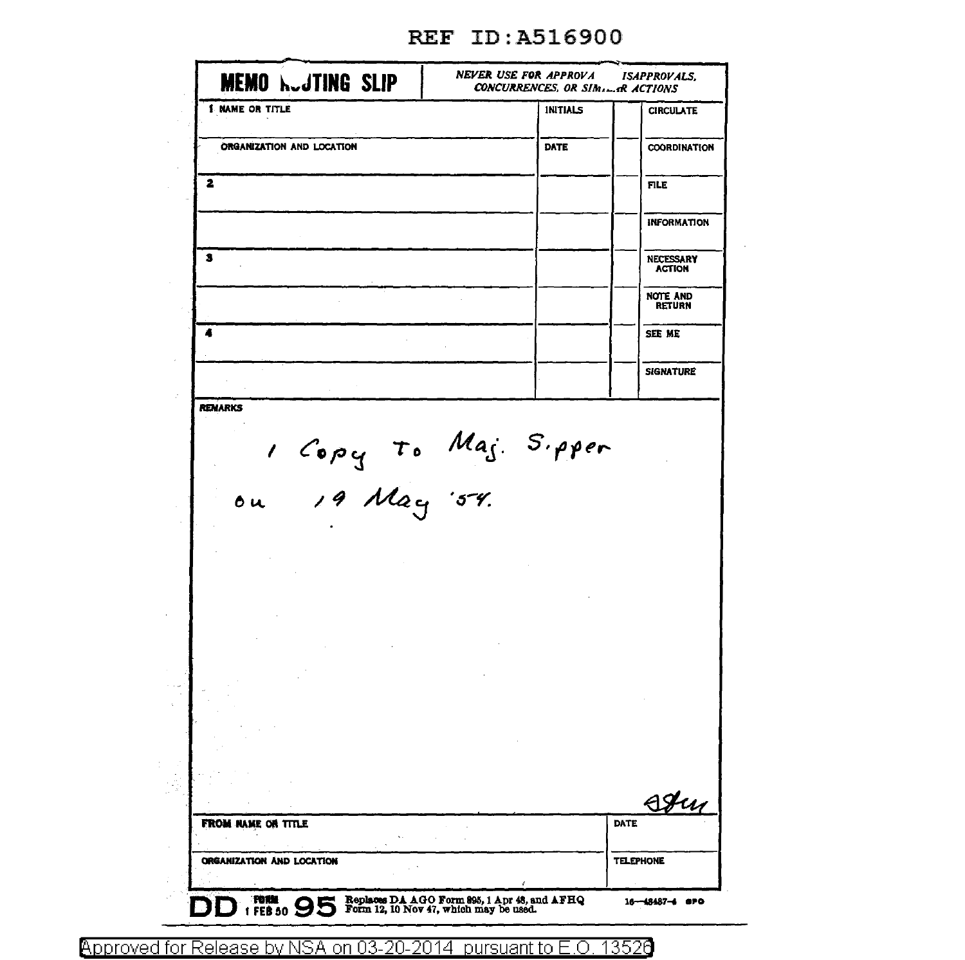| <b>I NAME OR TITLE</b>                 | <b>INITIALS</b> | <b>CIRCULATE</b>                  |
|----------------------------------------|-----------------|-----------------------------------|
|                                        |                 |                                   |
| ORGANIZATION AND LOCATION              | <b>DATE</b>     | <b>COORDINATION</b>               |
| 2                                      |                 | <b>FILE</b>                       |
|                                        |                 | <b>INFORMATION</b>                |
| з                                      |                 | <b>NECESSARY</b><br><b>ACTION</b> |
|                                        |                 | NOTE AND<br><b>RETURN</b>         |
| 4                                      |                 | SEE ME                            |
|                                        |                 | <b>SIGNATURE</b>                  |
| <b>REMARKS</b>                         |                 |                                   |
|                                        |                 |                                   |
| 1 Copy To Maj. S.pper<br>ou 19 May 54. |                 |                                   |
|                                        |                 |                                   |
|                                        |                 |                                   |
|                                        |                 |                                   |
|                                        |                 | Hu                                |
| FROM NAME OR TITLE                     |                 | DATE                              |

## REF ID:A516900

Approved for Release by NSA on 03-20-2014 pursuant to E.O. 13526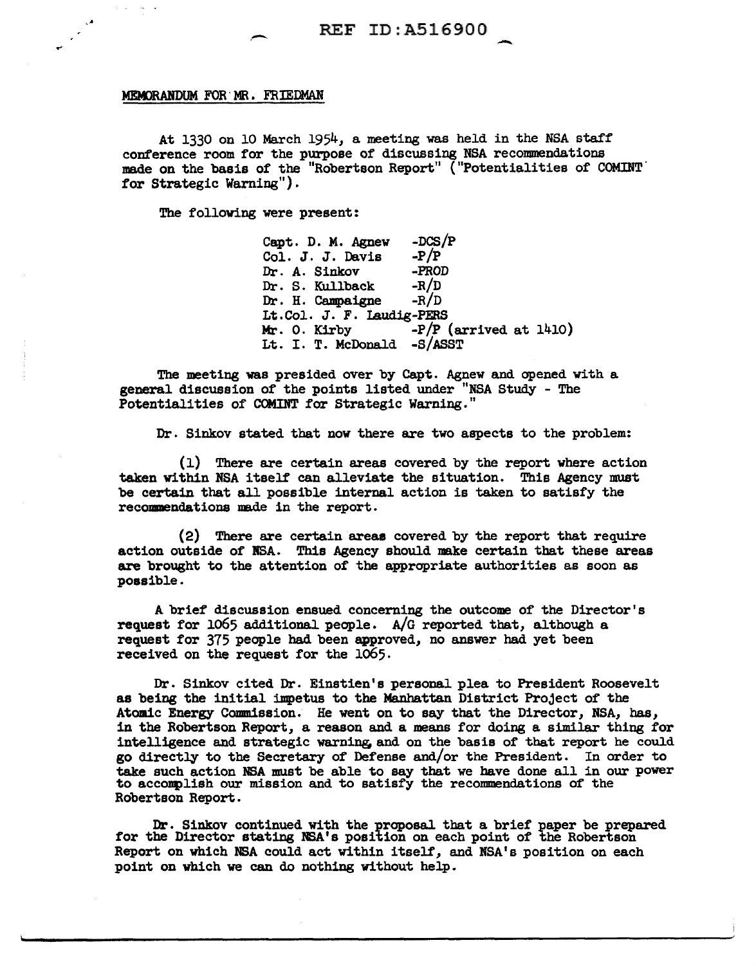## MEMORANDUM FOR MR. FRIEDMAN

At 1330 on 10 March 1954, a meeting was held in the NSA staff conference room for the purpose of discussing NSA recommendations made on the basis of the "Robertson Report" ("Potentialities of COMINT' for Strategic Warning").

The following were present:

Capt. D. M. Agnew  $-DCS/P$ <br>Col. J. J. Davis  $-P/P$ Col. J. J. Davis -P/P<br>Dr. A. Sinkov -PROD Dr. A. Sinkov -PROD<br>Dr. S. Kullback -R/D Dr. S. Kullback -R/D<br>Dr. H. Campaigne -R/D Dr. H. Campaigne Lt. Col. J. F. Laudig-PERS<br>Mr. O. Kirby -P/P (  $-P/P$  (arrived at 1410) Lt. I. T. McDonald -S/ASST

The meeting was presided over by Capt. Agnew and opened with a general discussion of the points listed under "NSA Study - The Potentialities of COMINT for Strategic Warning."

Dr. Sinkov stated that now there are two aspects to the problem:

(1) There are certain areas covered by the report where action taken within NSA itself can alleviate the situation. This Agency must be certain that all possible internal action is taken to satisfy the recommendations made in the report.

(2) There are certain areas covered by the report that require action outside of ISA. This Agency should make certain that these areas are brought to the attention of the appropriate authorities as soon as possible.

A brief discussion ensued concerning the outcome of the Director's request for 1065 additional people. A/G reported that, although a request for 375 people had been approved, no answer had yet been received on the request for the 1065.

Dr. Sinkov cited Dr. Einstien's personal plea to President Roosevelt as being the initial impetus to the Manhattan District Project of the Atomic Energy Commission. He went on to say that the Director, NSA, has, in the Robertson Report, a reason and a means for doing a similar thing for intelligence and strategic warning and on the basis of that report he could go directly to the Secretary of Defense and/or the President. In order to take such action NSA must be able to say that we have done all in our power to acconplish our mission and to satisfy the recommendations of the Robertson Report.

Dr. Sinkov continued with the proposal that a brief paper be prepared for the Director stating NSA's position on each point of the Robertson Report on which NSA could act within itself, and NSA's position on each point on which we can do nothing without help.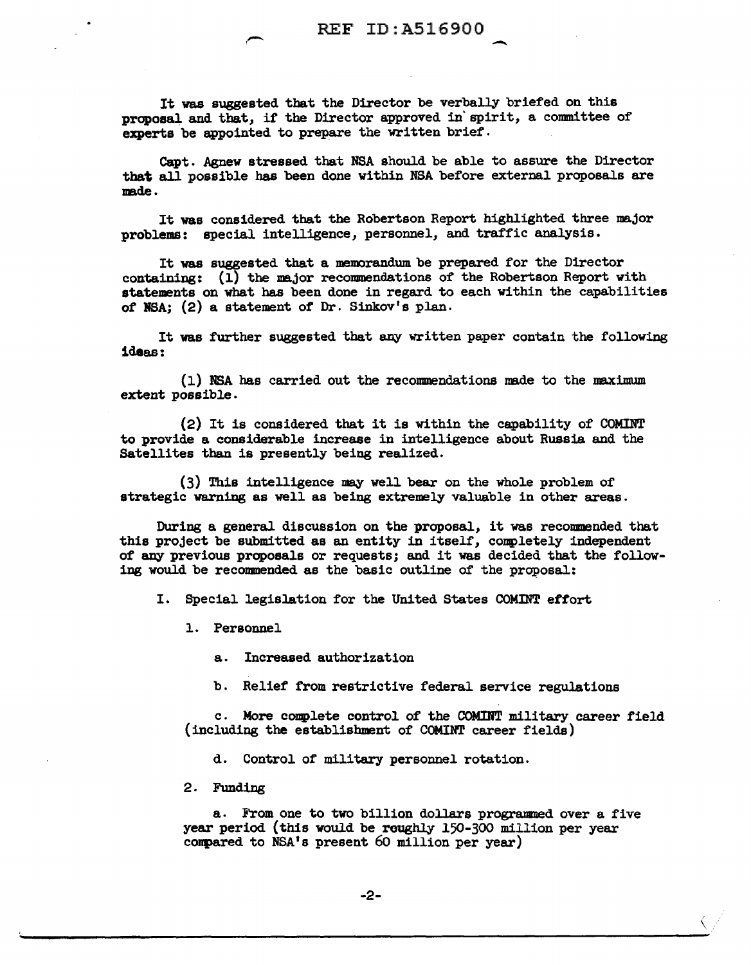$\overline{\phantom{a}}$ 

It was suggested that the Director be verbally briefed on this proposal and that, if the Director approved in' spirit, a committee of experts be appointed to prepare the written brief.

Capt. Agnew stressed that NSA should be able to assure the Director that a1l possible has been done within NSA before external proposals are made.

It was considered that the Robertson Report highlighted three major problems: special intelligence, personnel, and traffic analysis.

It was suggested that a memorandum be prepared for the Director containing: (1) the major recommendations of the Robertson Report with statements on what bas been done in regard to each within the capabilities of NSA;  $(2)$  a statement of Dr. Sinkov's plan.

It was further suggested that any written paper contain the following ideas:

(1) NSA has carried out the recommendations made to the maximum extent possible.

(2) It is considered that it is within the capability of COMINT to provide a considerable increase in intelligence about Russia and the Satellites than is presently being realized.

 $(3)$  This intelligence may well bear on the whole problem of strategic warning as well as being extremely valuable in other areas.

During a general discussion on the proposal, it was recommended that this project be submitted as an entity in itself, completely independent of any previous proposals or requests; and it was decided that the following would be recommended as the basic outline of the proposal:

I. Special legislation for the United States COMINT effort

1. Personnel

a. Increased authorization

b. Relief from restrictive federal service regulations

c. More complete control of the COMINT military career field (including the establishment of COMINT career fields)

d. Control of military personnel rotation.

2. Funding

a. From one to two billion dollars programmed over a five year period (this would be roughly 150-300 million per year conpared to NSA's present 60 million per year)

 $\zeta$  /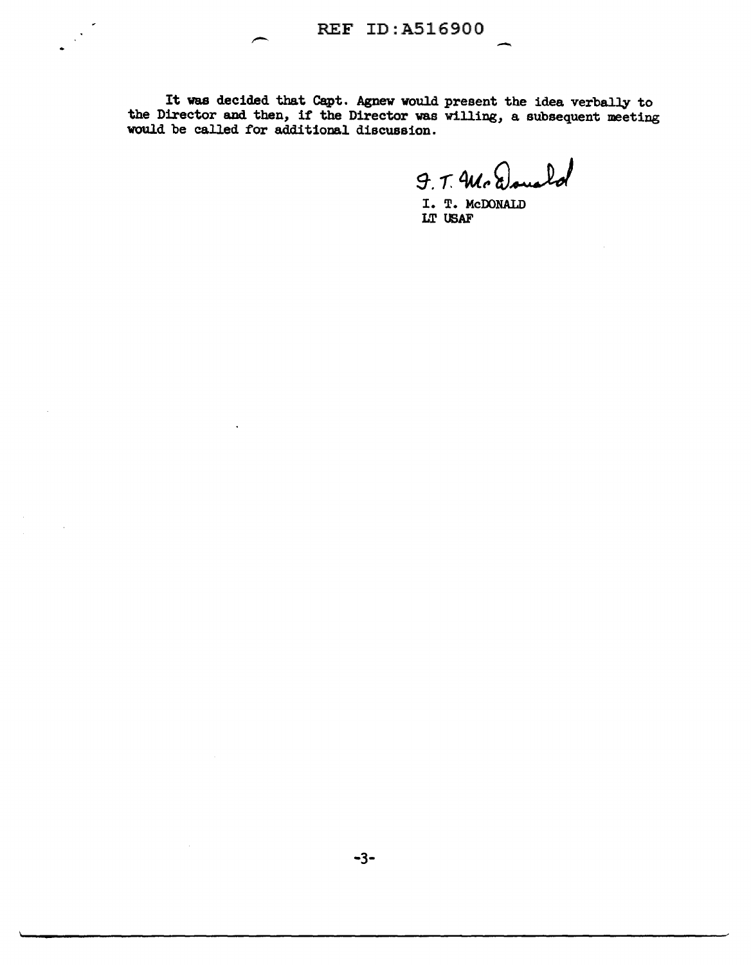It was decided that Capt. Agnew would present the idea verbally to the Director and then, if the Director was willing, a subsequent meeting would be called for additional discussion.

9. T. Mc Done  $\mathbf{L}$ 

-

I. T. McDONALD LT USAF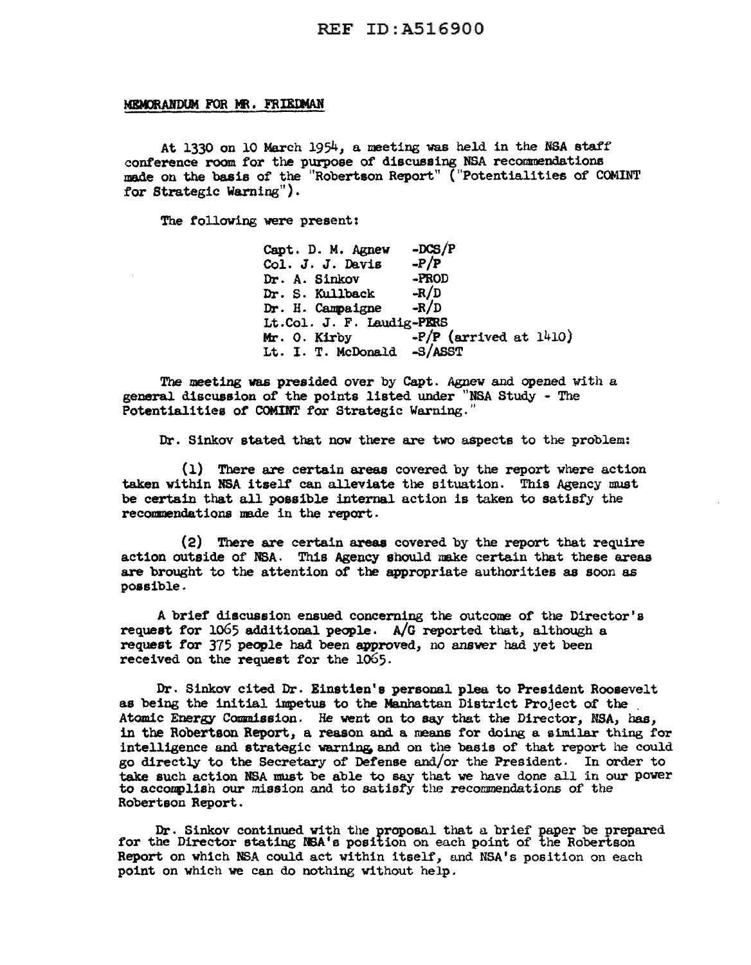## REF ID:A516900

## MEMORANDUM FOR MR. FRIEDMAN

At 1330 on 10 March 1954, a meeting was held in the NSA staff' conference room for the purpose of discussing NSA recommendations made on the basis of the "Robertson Report" ("Potentialities of COMINT for Strategic Warning").

The following were present:

Capt. D. M. Agnew  $-DCS/P$ <br>Col. J. J. Davis  $-P/P$ Col. J. J. Davis  $-P/P$ <br>Dr. A. Sinkov -PROD Dr. A. Sinkov -PROD<br>Dr. S. Kullback -R/D Dr. S. Kullback -R/D<br>Dr. H. Campaigne -R/D Dr. H. Campaigne Lt.Col. J. F. Laudig-PERS<br>Mr. O. Kirby -P/P  $\text{F/P}$  (arrived at 1410). Lt. I. T. McDonald -S/ASST

The meeting vas presided over by Capt. Agnew and opened with a general discussion of the points listed under "NSA Study - The Potentialities of COMINT for Strategic Warning."

Dr. Sinkov stated that now there are two aspects to the problem:

( l) There are certain areas covered by the report where action taken within NSA itself can alleviate the situation. This Agency must be certain that all possible internal. action is taken to satisfy the recommendations made in the report.

 $(2)$  There are certain areas covered by the report that require action outside of NBA. This Agency should nake certain tbat these areas are brought to the attention of the appropriate authorities as soon as possible.

A brief discussion ensued concerning the outcome of the Director's request for 1065 additional people. A/G reported that, although a request for 375 people had been approved, no answer had yet been received on the request for the 1065.

Dr. Sinkov cited Dr. Einstien'e personal plea to President Roosevelt as being the initial impetus to the Manhattan District Project of the Atomic Energy Commission. He went on to say that the Director, NSA, bas, in the Robertson Report, a reason and a means for doing a similar thing for intelligence and strategic warning, and on the baeis of that report he could go directly to the Secretary of Defense and/or the President. In order to take such action NSA must be able to say that we have done all in our power to accomplish our mission and to satisfy the recommendations of the Robertson Report.

Dr. Sinkov continued with the proposal that a brief paper be prepared for the Director stating NSA's position on each point of the Robertson Report on which NSA could act within itself, and NSA's position on each point on which we can do nothing without help.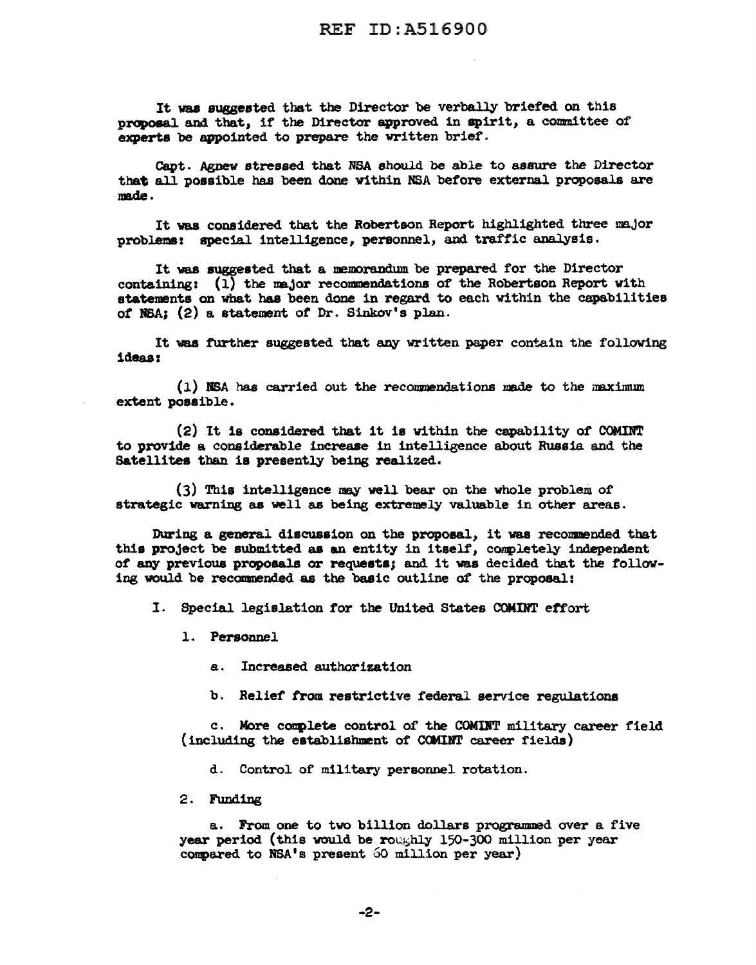It was suggeeted that the Director be verbally briefed on this proposal and that, if the Director approved in spirit, a committee of experts be appointed to prepare the written brief.

Capt. Agnew stressed that NSA should be able to assure the Director that all possible has been done within NSA before external proposals are made.

It vaa considered that the Robertson Report highlighted three major problems: special intelligence, personnel, and traffic analysis.

It was suggested that a memorandum be prepared for the Director containing: (1) the major recommendations of the Robertson Report with statements on what has been done in regard to each within the capabilities *ot* NBA; (2) a statement *ot* Dr. Sinkov' a plan.

It was further suggested that any written paper contain the following ideas:

 $(1)$  NSA has carried out the recommendations made to the maximum extent posaible.

 $(2)$  It is considered that it is within the capability of COMINT to provide a considerable inerease 1n intelligence about Russia and the Satellites than is presently being realized.

(3) Thia intelligence any well bear on the whole problem of strategic warning as well as being extremely valuable in other areas.

During a general discussion on the proposal, it was recommended that this project be submitted as an entity in itself, conpletely independent of any previous proposals or requests; and it was decided that the following would be recommended as the basic outline of the proposal:

I. Special legislation for the United States COMINT etfort

l. Personnel

a. Increased authorization

b. Relief from restrictive federal service regulations

c. More complete control of the COMINT military career field  $(including the establishment of  $COMINT$  career fields)$ 

d. Control of' military personnel rotation.

2. Funding

a. From one to two billion dollars programmed over a five year period (this would be roughly 150-300 million per year compared to  $NSA$ 's present 60 million per year)